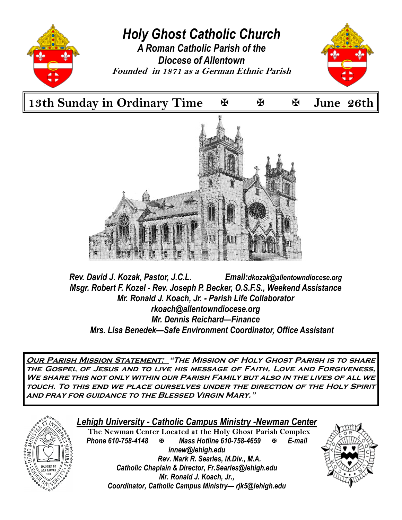

13th Sunday in Ordinary Time  $\mathbb F$  **E**  $\mathbb F$  June 26th



*Rev. David J. Kozak, Pastor, J.C.L. Email:dkozak@allentowndiocese.org Msgr. Robert F. Kozel - Rev. Joseph P. Becker, O.S.F.S., Weekend Assistance Mr. Ronald J. Koach, Jr. - Parish Life Collaborator rkoach@allentowndiocese.org Mr. Dennis Reichard—Finance Mrs. Lisa Benedek—Safe Environment Coordinator, Office Assistant* 

**Our Parish Mission Statement: "The Mission of Holy Ghost Parish is to share the Gospel of Jesus and to live his message of Faith, Love and Forgiveness, We share this not only within our Parish Family but also in the lives of all we touch. To this end we place ourselves under the direction of the Holy Spirit and pray for guidance to the Blessed Virgin Mary."** 



## *Lehigh University - Catholic Campus Ministry -Newman Center*

 **The Newman Center Located at the Holy Ghost Parish Complex**  *Phone 610-758-4148 Mass Hotline 610-758-4659 E-mail innew@lehigh.edu Rev. Mark R. Searles, M.Div., M.A. Catholic Chaplain & Director, Fr.Searles@lehigh.edu Mr. Ronald J. Koach, Jr., Coordinator, Catholic Campus Ministry— rjk5@lehigh.edu* 

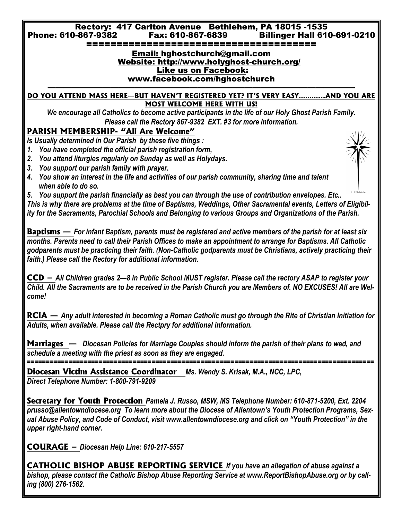**Rectory: 417 Carlton Avenue Bethlehem, PA 18015 -1535 Phone: 610-867-9382 Fax: 610-867-6839 Billinger Hall 610-691-0210**

**======================================**

#### **Email: hghostchurch@gmail.com Website: http://www.holyghost-church.org/ Like us on Facebook: [www.facebook.com/hghostchurch](https://www.facebook.com/hghostchurch)**

**——————————————————————————————————————— DO YOU ATTEND MASS HERE—BUT HAVEN'T REGISTERED YET? IT'S VERY EASY………...AND YOU ARE MOST WELCOME HERE WITH US!** 

*We encourage all Catholics to become active participants in the life of our Holy Ghost Parish Family. Please call the Rectory 867-9382 EXT. #3 for more information.* 

## **PARISH MEMBERSHIP- "All Are Welcome"**

*Is Usually determined in Our Parish by these five things :*

- *1. You have completed the official parish registration form,*
- *2. You attend liturgies regularly on Sunday as well as Holydays.*
- *3. You support our parish family with prayer.*
- *4. You show an interest in the life and activities of our parish community, sharing time and talent when able to do so.*

*5. You support the parish financially as best you can through the use of contribution envelopes. Etc.. This is why there are problems at the time of Baptisms, Weddings, Other Sacramental events, Letters of Eligibility for the Sacraments, Parochial Schools and Belonging to various Groups and Organizations of the Parish.*

**Baptisms —** *For infant Baptism, parents must be registered and active members of the parish for at least six months. Parents need to call their Parish Offices to make an appointment to arrange for Baptisms. All Catholic godparents must be practicing their faith. (Non-Catholic godparents must be Christians, actively practicing their faith.) Please call the Rectory for additional information.*

**CCD –** *All Children grades 2—8 in Public School MUST register. Please call the rectory ASAP to register your Child. All the Sacraments are to be received in the Parish Church you are Members of. NO EXCUSES! All are Welcome!*

**RCIA —** *Any adult interested in becoming a Roman Catholic must go through the Rite of Christian Initiation for Adults, when available. Please call the Rectpry for additional information.*

**Marriages —** *Diocesan Policies for Marriage Couples should inform the parish of their plans to wed, and schedule a meeting with the priest as soon as they are engaged.* 

*============================================================================================* **Diocesan Victim Assistance Coordinator** *Ms. Wendy S. Krisak, M.A., NCC, LPC, Direct Telephone Number: 1-800-791-9209* 

**Secretary for Youth Protection** *Pamela J. Russo, MSW, MS Telephone Number: 610-871-5200, Ext. 2204 prusso@allentowndiocese.org To learn more about the Diocese of Allentown's Youth Protection Programs, Sex*ual Abuse Policy, and Code of Conduct, visit www.allentowndiocese.org and click on "Youth Protection" in the *upper right-hand corner.* 

**COURAGE –** *Diocesan Help Line: 610-217-5557* 

**CATHOLIC BISHOP ABUSE REPORTING SERVICE** *If you have an allegation of abuse against a bishop, please contact the Catholic Bishop Abuse Reporting Service at www.ReportBishopAbuse.org or by calling (800) 276-1562.*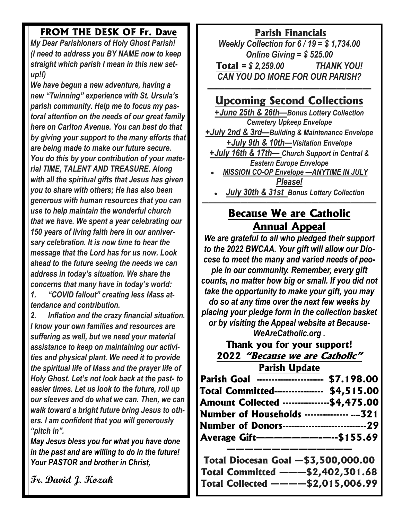## **FROM THE DESK OF Fr. Dave**

*My Dear Parishioners of Holy Ghost Parish! (I need to address you BY NAME now to keep straight which parish I mean in this new setup!!)*

*We have begun a new adventure, having a new "Twinning" experience with St. Ursula's parish community. Help me to focus my pastoral attention on the needs of our great family here on Carlton Avenue. You can best do that by giving your support to the many efforts that are being made to make our future secure. You do this by your contribution of your material TIME, TALENT AND TREASURE. Along with all the spiritual gifts that Jesus has given you to share with others; He has also been generous with human resources that you can use to help maintain the wonderful church that we have. We spent a year celebrating our 150 years of living faith here in our anniversary celebration. It is now time to hear the message that the Lord has for us now. Look ahead to the future seeing the needs we can address in today's situation. We share the concerns that many have in today's world: 1. "COVID fallout" creating less Mass attendance and contribution.*

*2. Inflation and the crazy financial situation. I know your own families and resources are suffering as well, but we need your material assistance to keep on maintaining our activities and physical plant. We need it to provide the spiritual life of Mass and the prayer life of Holy Ghost. Let's not look back at the past- to easier times. Let us look to the future, roll up our sleeves and do what we can. Then, we can walk toward a bright future bring Jesus to others. I am confident that you will generously "pitch in".*

*May Jesus bless you for what you have done in the past and are willing to do in the future! Your PASTOR and brother in Christ,*

**Fr. David J. Kozak** 

## **Parish Financials**

*Weekly Collection for 6 / 19 = \$ 1,734.00 Online Giving = \$ 525.00*  **Total** *= \$ 2,259.00 THANK YOU! CAN YOU DO MORE FOR OUR PARISH?*

## *———————————————————* **Upcoming Second Collections**

*+June 25th & 26th—Bonus Lottery Collection Cemetery Upkeep Envelope*

*+July 2nd & 3rd—Building & Maintenance Envelope +July 9th & 10th—Visitation Envelope*

*+July 16th & 17th— Church Support in Central & Eastern Europe Envelope* 

*MISSION CO-OP Envelope —ANYTIME IN JULY Please!*

*July 30th & 31st Bonus Lottery Collection*

## *———————————————————————————* **Because We are Catholic Annual Appeal**

*We are grateful to all who pledged their support to the 2022 BWCAA. Your gift will allow our Diocese to meet the many and varied needs of people in our community. Remember, every gift counts, no matter how big or small. If you did not take the opportunity to make your gift, you may do so at any time over the next few weeks by placing your pledge form in the collection basket or by visiting the Appeal website at Because-WeAreCatholic.org .* 

**Thank you for your support! 2022 "Because we are Catholic" Parish Update** 

| Parish Goal ---------------------- \$7.198.00         |  |
|-------------------------------------------------------|--|
| Total Committed----------------- \$4,515.00           |  |
| Amount Collected ---------------\$4,475.00            |  |
| <b>Number of Households -------------- 321</b>        |  |
| <b>Number of Donors----------------------------29</b> |  |
| Average Gift--------------\$155.69                    |  |
|                                                       |  |

|  | Total Diocesan Goal -\$3,500,000.00 |
|--|-------------------------------------|
|  | Total Committed ———\$2,402,301.68   |
|  | Total Collected ————\$2,015,006.99  |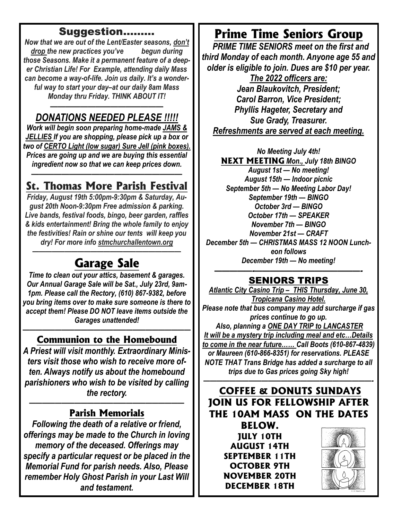## **Suggestion………**

*Now that we are out of the Lent/Easter seasons, don't drop the new practices you've begun during those Seasons. Make it a permanent feature of a deeper Christian Life! For Example, attending daily Mass can become a way-of-life. Join us daily. It's a wonderful way to start your day–at our daily 8am Mass Monday thru Friday. THINK ABOUT IT!*

### *——————————————— DONATIONS NEEDED PLEASE !!!!!*

*Work will begin soon preparing home-made JAMS & JELLIES If you are shopping, please pick up a box or two of CERTO Light (low sugar) Sure Jell (pink boxes). Prices are going up and we are buying this essential ingredient now so that we can keep prices down.*

## *————————————————————* **St. Thomas More Parish Festival**

*Friday, August 19th 5:00pm-9:30pm & Saturday, August 20th Noon-9:30pm Free admission & parking. Live bands, festival foods, bingo, beer garden, raffles & kids entertainment! Bring the whole family to enjoy the festivities! Rain or shine our tents will keep you dry! For more info stmchurchallentown.org*

## *———————————————————————* **Garage Sale**

*Time to clean out your attics, basement & garages. Our Annual Garage Sale will be Sat., July 23rd, 9am-1pm. Please call the Rectory, (610) 867-9382, before you bring items over to make sure someone is there to accept them! Please DO NOT leave items outside the Garages unattended!*

#### *——————————————————————————* **Communion to the Homebound**

*A Priest will visit monthly. Extraordinary Ministers visit those who wish to receive more often. Always notify us about the homebound parishioners who wish to be visited by calling the rectory.*

#### *————————————————————————* **Parish Memorials**

*Following the death of a relative or friend, offerings may be made to the Church in loving memory of the deceased. Offerings may specify a particular request or be placed in the Memorial Fund for parish needs. Also, Please remember Holy Ghost Parish in your Last Will and testament.*

# **Prime Time Seniors Group**

 *PRIME TIME SENIORS meet on the first and third Monday of each month. Anyone age 55 and older is eligible to join. Dues are \$10 per year. The 2022 officers are: Jean Blaukovitch, President; Carol Barron, Vice President; Phyllis Hageter, Secretary and Sue Grady, Treasurer. Refreshments are served at each meeting.* 

*No Meeting July 4th!* **NEXT MEETING** *Mon., July 18th BINGO August 1st — No meeting! August 15th — Indoor picnic September 5th — No Meeting Labor Day! September 19th — BINGO October 3rd — BINGO October 17th — SPEAKER November 7th — BINGO November 21st — CRAFT December 5th — CHRISTMAS MASS 12 NOON Luncheon follows December 19th — No meeting!*

#### *—————-——————————————-* **SENIORS TRIPS**

*Atlantic City Casino Trip – THIS Thursday, June 30, Tropicana Casino Hotel. Please note that bus company may add surcharge if gas prices continue to go up. Also, planning a ONE DAY TRIP to LANCASTER It will be a mystery trip including meal and etc…Details to come in the near future…… Call Boots (610-867-4839) or Maureen (610-866-8351) for reservations. PLEASE NOTE THAT Trans Bridge has added a surcharge to all trips due to Gas prices going Sky high!*

## *——————————————————————————-* **COFFEE & DONUTS SUNDAYS JOIN US FOR FELLOWSHIP AFTER THE 10AM MASS ON THE DATES**

**BELOW. JULY 10TH AUGUST 14TH SEPTEMBER 11TH OCTOBER 9TH NOVEMBER 20TH DECEMBER 18TH** 

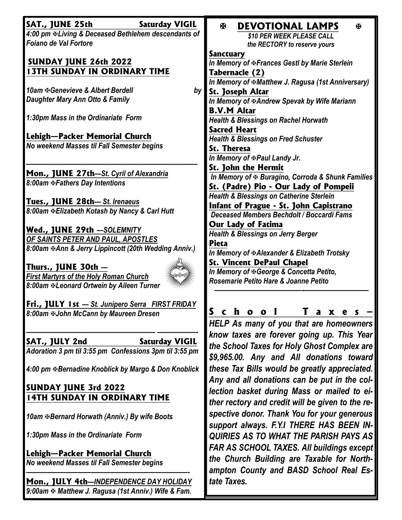| SAT., JUNE 25th                                                                            | <b>Saturday VIGIL</b> | K.<br><b>DEVOTIONAL LAMPS</b><br>Ж                                                           |
|--------------------------------------------------------------------------------------------|-----------------------|----------------------------------------------------------------------------------------------|
| 4:00 pm & Living & Deceased Bethlehem descendants of                                       |                       | \$10 PER WEEK PLEASE CALL                                                                    |
| <b>Foiano de Val Fortore</b>                                                               |                       | the RECTORY to reserve yours                                                                 |
|                                                                                            |                       | <b>Sanctuary</b>                                                                             |
| <b>SUNDAY JUNE 26th 2022</b>                                                               |                       | In Memory of & Frances Gestl by Marie Sterlein                                               |
| <b>13TH SUNDAY IN ORDINARY TIME</b>                                                        |                       | Tabernacle (2)                                                                               |
|                                                                                            |                       | In Memory of <b>EMatthew J. Ragusa</b> (1st Anniversary)                                     |
| 10am & Genevieve & Albert Berdell                                                          | by                    | St. Joseph Altar                                                                             |
| Daughter Mary Ann Otto & Family                                                            |                       | In Memory of <b>EAndrew</b> Spevak by Wife Mariann                                           |
|                                                                                            |                       | <b>B.V.M Altar</b>                                                                           |
| 1:30pm Mass in the Ordinariate Form                                                        |                       | <b>Health &amp; Blessings on Rachel Horwath</b>                                              |
| Lehigh—Packer Memorial Church                                                              |                       | <b>Sacred Heart</b>                                                                          |
| No weekend Masses til Fall Semester begins                                                 |                       | <b>Health &amp; Blessings on Fred Schuster</b>                                               |
|                                                                                            |                       | <b>St. Theresa</b>                                                                           |
|                                                                                            |                       | In Memory of <sub>EPaul</sub> Landy Jr.                                                      |
| Mon., JUNE 27th-St. Cyril of Alexandria                                                    |                       | <b>St. John the Hermit</b>                                                                   |
| 8:00am & Fathers Day Intentions                                                            |                       | In Memory of $\Phi$ Buragino, Corroda & Shunk Families                                       |
|                                                                                            |                       | St. (Padre) Pio - Our Lady of Pompeii<br><b>Health &amp; Blessings on Catherine Sterlein</b> |
| Tues., JUNE 28th— St. Irenaeus                                                             |                       | Infant of Prague - St. John Capistrano                                                       |
| 8:00am & Elizabeth Kotash by Nancy & Carl Hutt                                             |                       | Deceased Members Bechdolt / Boccardi Fams                                                    |
|                                                                                            |                       | <b>Our Lady of Fatima</b>                                                                    |
| <u>Wed., JUNE 29th -SOLEMNITY</u>                                                          |                       | <b>Health &amp; Blessings on Jerry Berger</b>                                                |
| OF SAINTS PETER AND PAUL, APOSTLES                                                         |                       | <b>Pieta</b>                                                                                 |
| 8:00am & Ann & Jerry Lippincott (20th Wedding Anniv.)                                      |                       | In Memory of $A$ Alexander & Elizabeth Trotsky                                               |
|                                                                                            |                       | <b>St. Vincent DePaul Chapel</b>                                                             |
| Thurs., JUNE 30th —                                                                        |                       | In Memory of $\mathfrak B$ George & Concetta Petito,                                         |
| <b>First Martyrs of the Holy Roman Church</b><br>8:00am & Leonard Ortwein by Aileen Turner |                       | Rosemarie Petito Hare & Joanne Petito                                                        |
|                                                                                            |                       |                                                                                              |
| Fri., JULY 1st - St. Junipero Serra FIRST FRIDAY                                           |                       |                                                                                              |
| 8:00am & John McCann by Maureen Dresen                                                     |                       | c h<br>T<br>$\mathbf{o}$<br>$\mathbf{o}$<br>a<br>X<br>e<br><b>S</b>                          |
|                                                                                            |                       | HELP As many of you that are homeowners                                                      |
|                                                                                            |                       | know taxes are forever going up. This Year                                                   |
| SAT., JULY 2nd                                                                             | <b>Saturday VIGIL</b> | the School Taxes for Holy Ghost Complex are                                                  |
| Adoration 3 pm til 3:55 pm Confessions 3pm til 3:55 pm                                     |                       |                                                                                              |
|                                                                                            |                       | \$9,965.00. Any and All donations toward                                                     |
| 4:00 pm & Bernadine Knoblick by Margo & Don Knoblick                                       |                       | these Tax Bills would be greatly appreciated.                                                |
|                                                                                            |                       | Any and all donations can be put in the col-                                                 |
| <b>SUNDAY JUNE 3rd 2022</b>                                                                |                       | lection basket during Mass or mailed to ei-                                                  |
| <b>14TH SUNDAY IN ORDINARY TIME</b>                                                        |                       | ther rectory and credit will be given to the re-                                             |
| 10am & Bernard Horwath (Anniv.) By wife Boots                                              |                       | spective donor. Thank You for your generous                                                  |
|                                                                                            |                       | support always. F.Y.I THERE HAS BEEN IN-                                                     |
| 1:30pm Mass in the Ordinariate Form                                                        |                       | <b>QUIRIES AS TO WHAT THE PARISH PAYS AS</b>                                                 |
|                                                                                            |                       |                                                                                              |
| Lehigh-Packer Memorial Church                                                              |                       | FAR AS SCHOOL TAXES. All buildings except                                                    |
| No weekend Masses til Fall Semester begins                                                 |                       | the Church Building are Taxable for North-                                                   |
|                                                                                            |                       | ampton County and BASD School Real Es-                                                       |
| Mon., JULY 4th-INDEPENDENCE DAY HOLIDAY                                                    |                       | tate Taxes.                                                                                  |

*9:00am Matthew J. Ragusa (1st Anniv.) Wife & Fam.*